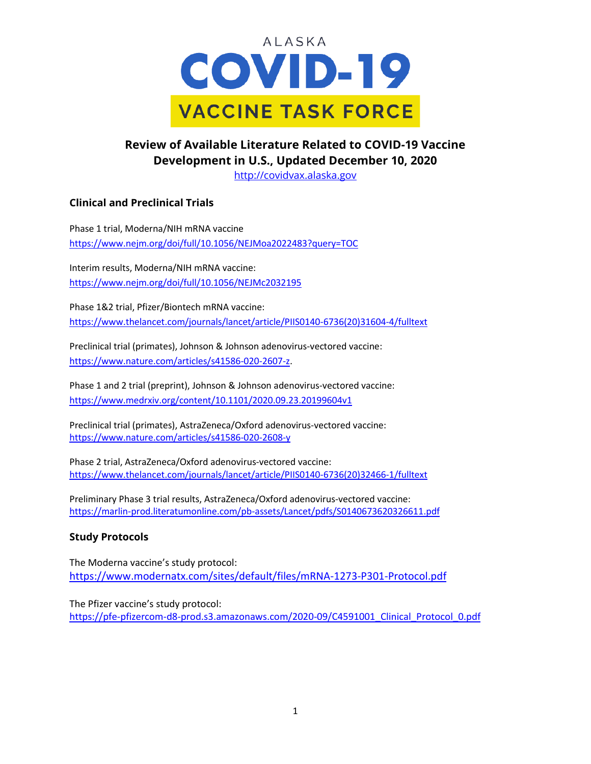

## **Review of Available Literature Related to COVID-19 Vaccine Development in U.S., Updated December 10, 2020**

[http://covidvax.alaska.gov](http://covidvax.alaska.gov/)

### **Clinical and Preclinical Trials**

Phase 1 trial, Moderna/NIH mRNA vaccine <https://www.nejm.org/doi/full/10.1056/NEJMoa2022483?query=TOC>

Interim results, Moderna/NIH mRNA vaccine: <https://www.nejm.org/doi/full/10.1056/NEJMc2032195>

Phase 1&2 trial, Pfizer/Biontech mRNA vaccine: [https://www.thelancet.com/journals/lancet/article/PIIS0140-6736\(20\)31604-4/fulltext](https://www.thelancet.com/journals/lancet/article/PIIS0140-6736(20)31604-4/fulltext)

Preclinical trial (primates), Johnson & Johnson adenovirus-vectored vaccine: [https://www.nature.com/articles/s41586-020-2607-z.](https://www.nature.com/articles/s41586-020-2607-z)

Phase 1 and 2 trial (preprint), Johnson & Johnson adenovirus-vectored vaccine: <https://www.medrxiv.org/content/10.1101/2020.09.23.20199604v1>

Preclinical trial (primates), AstraZeneca/Oxford adenovirus-vectored vaccine: <https://www.nature.com/articles/s41586-020-2608-y>

Phase 2 trial, AstraZeneca/Oxford adenovirus-vectored vaccine: [https://www.thelancet.com/journals/lancet/article/PIIS0140-6736\(20\)32466-1/fulltext](https://www.thelancet.com/journals/lancet/article/PIIS0140-6736(20)32466-1/fulltext)

Preliminary Phase 3 trial results, AstraZeneca/Oxford adenovirus-vectored vaccine: <https://marlin-prod.literatumonline.com/pb-assets/Lancet/pdfs/S0140673620326611.pdf>

#### **Study Protocols**

The Moderna vaccine's study protocol: <https://www.modernatx.com/sites/default/files/mRNA-1273-P301-Protocol.pdf>

The Pfizer vaccine's study protocol: [https://pfe-pfizercom-d8-prod.s3.amazonaws.com/2020-09/C4591001\\_Clinical\\_Protocol\\_0.pdf](https://pfe-pfizercom-d8-prod.s3.amazonaws.com/2020-09/C4591001_Clinical_Protocol_0.pdf)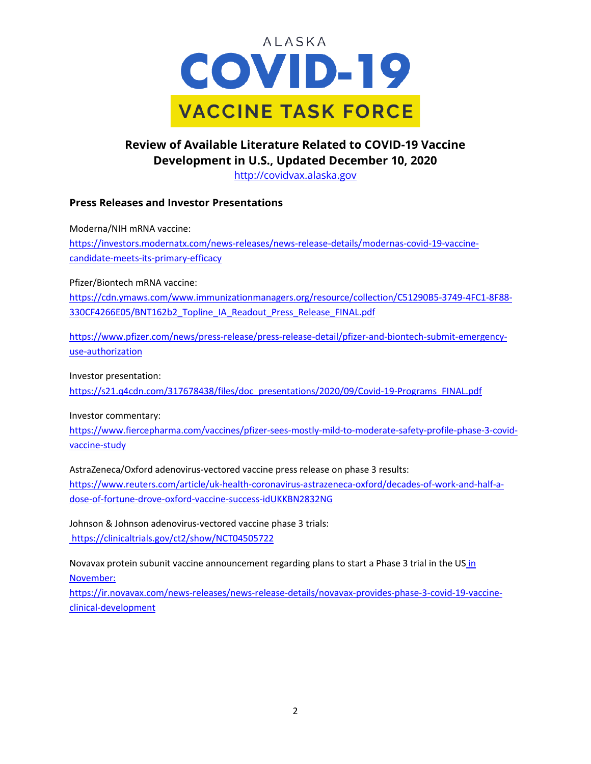

# **Review of Available Literature Related to COVID-19 Vaccine Development in U.S., Updated December 10, 2020**

[http://covidvax.alaska.gov](http://covidvax.alaska.gov/)

#### **Press Releases and Investor Presentations**

Moderna/NIH mRNA vaccine: [https://investors.modernatx.com/news-releases/news-release-details/modernas-covid-19-vaccine](https://investors.modernatx.com/news-releases/news-release-details/modernas-covid-19-vaccine-candidate-meets-its-primary-efficacy)[candidate-meets-its-primary-efficacy](https://investors.modernatx.com/news-releases/news-release-details/modernas-covid-19-vaccine-candidate-meets-its-primary-efficacy)

Pfizer/Biontech mRNA vaccine:

[https://cdn.ymaws.com/www.immunizationmanagers.org/resource/collection/C51290B5-3749-4FC1-8F88-](https://cdn.ymaws.com/www.immunizationmanagers.org/resource/collection/C51290B5-3749-4FC1-8F88-330CF4266E05/BNT162b2_Topline_IA_Readout_Press_Release_FINAL.pdf) [330CF4266E05/BNT162b2\\_Topline\\_IA\\_Readout\\_Press\\_Release\\_FINAL.pdf](https://cdn.ymaws.com/www.immunizationmanagers.org/resource/collection/C51290B5-3749-4FC1-8F88-330CF4266E05/BNT162b2_Topline_IA_Readout_Press_Release_FINAL.pdf)

[https://www.pfizer.com/news/press-release/press-release-detail/pfizer-and-biontech-submit-emergency](https://www.pfizer.com/news/press-release/press-release-detail/pfizer-and-biontech-submit-emergency-use-authorization)[use-authorization](https://www.pfizer.com/news/press-release/press-release-detail/pfizer-and-biontech-submit-emergency-use-authorization)

Investor presentation:

[https://s21.q4cdn.com/317678438/files/doc\\_presentations/2020/09/Covid-19-Programs\\_FINAL.pdf](https://s21.q4cdn.com/317678438/files/doc_presentations/2020/09/Covid-19-Programs_FINAL.pdf)

Investor commentary:

[https://www.fiercepharma.com/vaccines/pfizer-sees-mostly-mild-to-moderate-safety-profile-phase-3-covid](https://www.fiercepharma.com/vaccines/pfizer-sees-mostly-mild-to-moderate-safety-profile-phase-3-covid-vaccine-study)[vaccine-study](https://www.fiercepharma.com/vaccines/pfizer-sees-mostly-mild-to-moderate-safety-profile-phase-3-covid-vaccine-study)

AstraZeneca/Oxford adenovirus-vectored vaccine press release on phase 3 results: https://www.reuters.com/article/uk-health-coronavirus-astrazeneca-oxford/decades-of-work-and-half-adose-of-fortune-drove-oxford-vaccine-success-idUKKBN2832NG

Johnson & Johnson adenovirus-vectored vaccine phase 3 trials: https://clinicaltrials.gov/ct2/show/NCT04505722

Novavax protein subunit vaccine announcement regarding plans to start a Phase 3 trial in the US in November:

https://ir.novavax.com/news-releases/news-release-details/novavax-provides-phase-3-covid-19-vaccineclinical-development